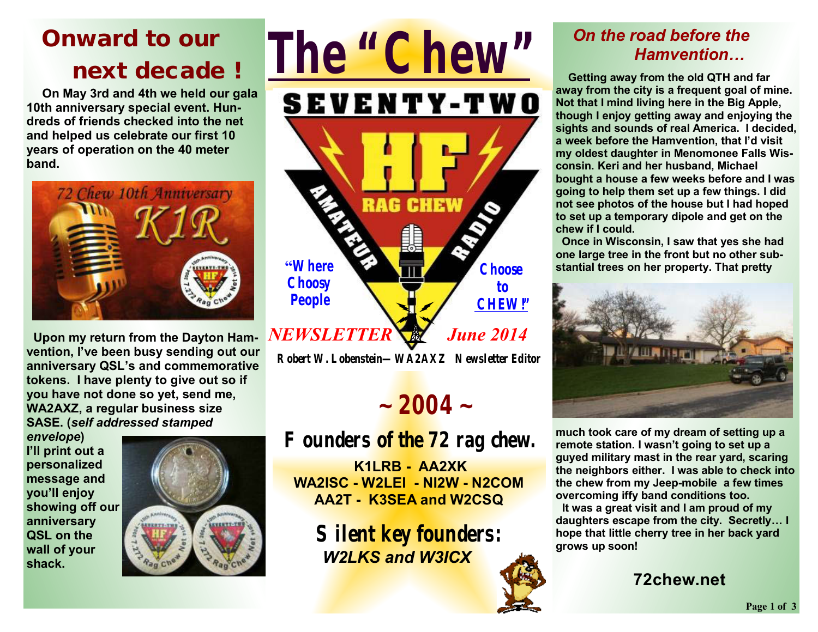## **Onward to our next decade** *!*

 **On May 3rd and 4th we held our gala 10th anniversary special event. Hundreds of friends checked into the net and helped us celebrate our first 10 years of operation on the 40 meter band.** 



 **Upon my return from the Dayton Hamvention, I've been busy sending out our anniversary QSL's and commemorative tokens. I have plenty to give out so if you have not done so yet, send me, WA2AXZ, a regular business size SASE. (***self addressed stamped* 

*envelope***) I'll print out a personalized message and you'll enjoy showing off our anniversary QSL on the wall of your shack.** 





## $\sim$  2004  $\sim$

**Founders of the 72 rag chew.**

**K1LRB - AA2XK WA2ISC - W2LEI - NI2W - N2COM AA2T - K3SEA and W2CSQ** 

**Silent key founders:**   *W2LKS and W3ICX*

### *On the road before the Hamvention…*

**Getting away from the old QTH and far away from the city is a frequent goal of mine. Not that I mind living here in the Big Apple, though I enjoy getting away and enjoying the sights and sounds of real America. I decided, a week before the Hamvention, that I'd visit my oldest daughter in Menomonee Falls Wisconsin. Keri and her husband, Michael bought a house a few weeks before and I was going to help them set up a few things. I did not see photos of the house but I had hoped to set up a temporary dipole and get on the chew if I could.** 

**Once in Wisconsin, I saw that yes she had one large tree in the front but no other substantial trees on her property. That pretty** 



**much took care of my dream of setting up a remote station. I wasn't going to set up a guyed military mast in the rear yard, scaring the neighbors either. I was able to check into the chew from my Jeep-mobile a few times overcoming iffy band conditions too.** 

 **It was a great visit and I am proud of my daughters escape from the city. Secretly… I hope that little cherry tree in her back yard grows up soon!**

**72chew.net**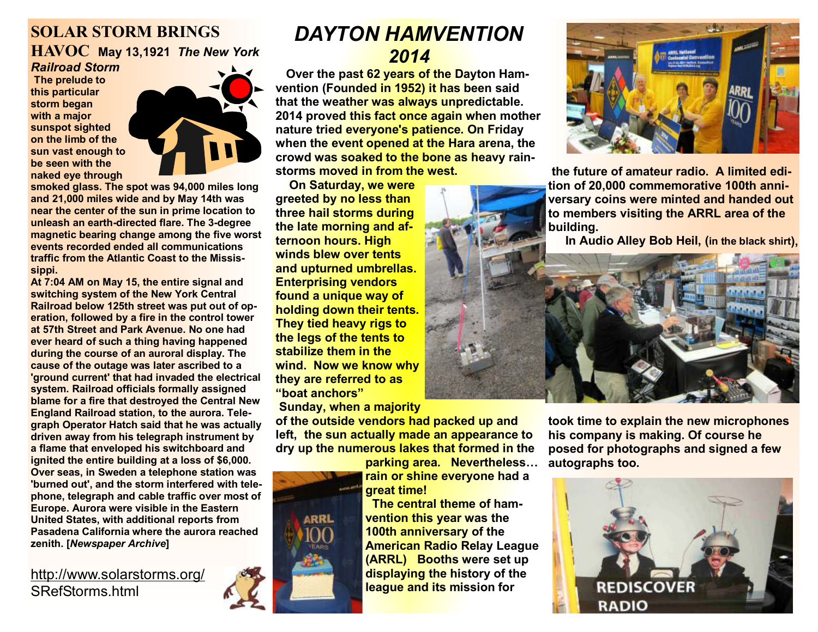#### **SOLAR STORM BRINGS HAVOC May 13,1921** *The New York Railroad Storm*

**The prelude to this particular storm began with a major sunspot sighted on the limb of the sun vast enough to be seen with the naked eye through** 



**smoked glass. The spot was 94,000 miles long and 21,000 miles wide and by May 14th was near the center of the sun in prime location to unleash an earth-directed flare. The 3-degree magnetic bearing change among the five worst events recorded ended all communications traffic from the Atlantic Coast to the Mississippi.** 

**At 7:04 AM on May 15, the entire signal and switching system of the New York Central Railroad below 125th street was put out of operation, followed by a fire in the control tower at 57th Street and Park Avenue. No one had ever heard of such a thing having happened during the course of an auroral display. The cause of the outage was later ascribed to a 'ground current' that had invaded the electrical system. Railroad officials formally assigned blame for a fire that destroyed the Central New England Railroad station, to the aurora. Telegraph Operator Hatch said that he was actually driven away from his telegraph instrument by a flame that enveloped his switchboard and ignited the entire building at a loss of \$6,000. Over seas, in Sweden a telephone station was 'burned out', and the storm interfered with telephone, telegraph and cable traffic over most of Europe. Aurora were visible in the Eastern United States, with additional reports from Pasadena California where the aurora reached zenith. [***Newspaper Archive***]** 

#### <http://www.solarstorms.org/> SRefStorms.html

### *DAYTON HAMVENTION 2014*

 **Over the past 62 years of the Dayton Hamvention (Founded in 1952) it has been said that the weather was always unpredictable. 2014 proved this fact once again when mother nature tried everyone's patience. On Friday when the event opened at the Hara arena, the crowd was soaked to the bone as heavy rainstorms moved in from the west.** 

 **On Saturday, we were greeted by no less than three hail storms during the late morning and afternoon hours. High winds blew over tents and upturned umbrellas. Enterprising vendors found a unique way of holding down their tents. They tied heavy rigs to the legs of the tents to stabilize them in the wind. Now we know why they are referred to as "boat anchors"** 

 **Sunday, when a majority** 

**of the outside vendors had packed up and left, the sun actually made an appearance to dry up the numerous lakes that formed in the** 

**parking area. Nevertheless… rain or shine everyone had a great time!** 

 **The central theme of hamvention this year was the 100th anniversary of the American Radio Relay League (ARRL) Booths were set up displaying the history of the league and its mission for**



**the future of amateur radio. A limited edition of 20,000 commemorative 100th anniversary coins were minted and handed out to members visiting the ARRL area of the building.** 

 **In Audio Alley Bob Heil, (in the black shirt),** 



**took time to explain the new microphones his company is making. Of course he posed for photographs and signed a few autographs too.**